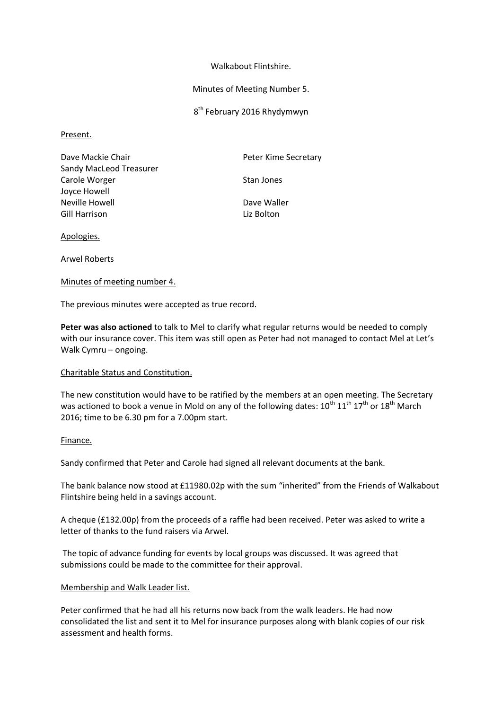#### Walkabout Flintshire.

#### Minutes of Meeting Number 5.

8<sup>th</sup> February 2016 Rhydymwyn

#### Present.

Dave Mackie Chair **Peter Kime Secretary** Sandy MacLeod Treasurer Carole Worger **Stan Jones** Stan Jones Joyce Howell Neville Howell **Dave Waller** Gill Harrison **Liz Bolton** 

Apologies.

Arwel Roberts

## Minutes of meeting number 4.

The previous minutes were accepted as true record.

**Peter was also actioned** to talk to Mel to clarify what regular returns would be needed to comply with our insurance cover. This item was still open as Peter had not managed to contact Mel at Let's Walk Cymru – ongoing.

## Charitable Status and Constitution.

The new constitution would have to be ratified by the members at an open meeting. The Secretary was actioned to book a venue in Mold on any of the following dates:  $10^{\text{th}}$   $11^{\text{th}}$   $17^{\text{th}}$  or  $18^{\text{th}}$  March 2016; time to be 6.30 pm for a 7.00pm start.

## Finance.

Sandy confirmed that Peter and Carole had signed all relevant documents at the bank.

The bank balance now stood at £11980.02p with the sum "inherited" from the Friends of Walkabout Flintshire being held in a savings account.

A cheque (£132.00p) from the proceeds of a raffle had been received. Peter was asked to write a letter of thanks to the fund raisers via Arwel.

The topic of advance funding for events by local groups was discussed. It was agreed that submissions could be made to the committee for their approval.

## Membership and Walk Leader list.

Peter confirmed that he had all his returns now back from the walk leaders. He had now consolidated the list and sent it to Mel for insurance purposes along with blank copies of our risk assessment and health forms.